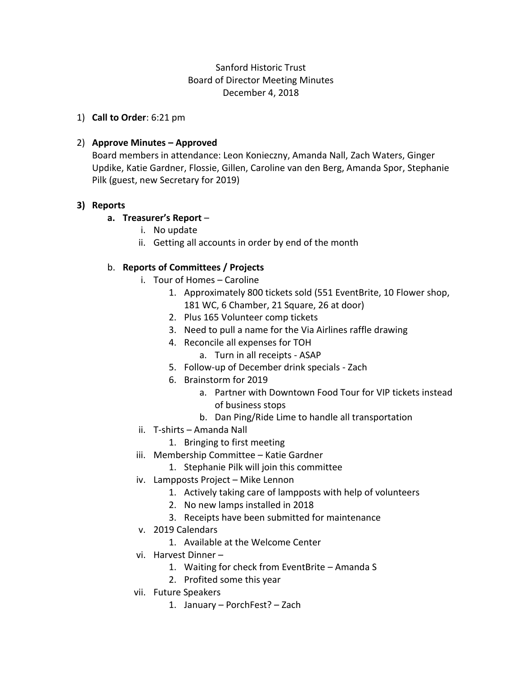# Sanford Historic Trust Board of Director Meeting Minutes December 4, 2018

1) **Call to Order**: 6:21 pm

## 2) **Approve Minutes – Approved**

Board members in attendance: Leon Konieczny, Amanda Nall, Zach Waters, Ginger Updike, Katie Gardner, Flossie, Gillen, Caroline van den Berg, Amanda Spor, Stephanie Pilk (guest, new Secretary for 2019)

## **3) Reports**

## **a. Treasurer's Report** –

- i. No update
- ii. Getting all accounts in order by end of the month

# b. **Reports of Committees / Projects**

- i. Tour of Homes Caroline
	- 1. Approximately 800 tickets sold (551 EventBrite, 10 Flower shop, 181 WC, 6 Chamber, 21 Square, 26 at door)
	- 2. Plus 165 Volunteer comp tickets
	- 3. Need to pull a name for the Via Airlines raffle drawing
	- 4. Reconcile all expenses for TOH
		- a. Turn in all receipts ASAP
	- 5. Follow-up of December drink specials Zach
	- 6. Brainstorm for 2019
		- a. Partner with Downtown Food Tour for VIP tickets instead of business stops
		- b. Dan Ping/Ride Lime to handle all transportation
- ii. T-shirts Amanda Nall
	- 1. Bringing to first meeting
- iii. Membership Committee Katie Gardner
	- 1. Stephanie Pilk will join this committee
- iv. Lampposts Project Mike Lennon
	- 1. Actively taking care of lampposts with help of volunteers
	- 2. No new lamps installed in 2018
	- 3. Receipts have been submitted for maintenance
- v. 2019 Calendars
	- 1. Available at the Welcome Center
- vi. Harvest Dinner
	- 1. Waiting for check from EventBrite Amanda S
	- 2. Profited some this year
- vii. Future Speakers
	- 1. January PorchFest? Zach